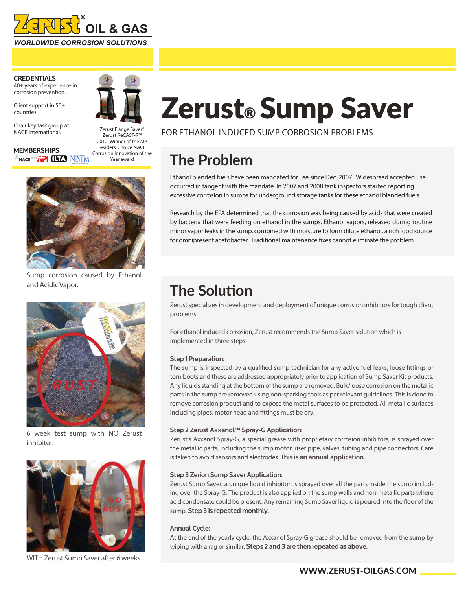

**CREDENTIALS** 40+ years of experience in corrosion prevention.

Client support in 50+ countries.

Chair key task group at NACE International.

 $^{\circ}$ nace "" $\tilde{h}$ " (LT.)  $\text{NSTM}$ 

**MEMBERSHIPS**



Zerust ReCAST-R™ 2012: Winner of the MP Readers' Choice NACE Corrosion Innovation of the Year award



Sump corrosion caused by Ethanol and Acidic Vapor.



6 week test sump with NO Zerust inhibitor.



WITH Zerust Sump Saver after 6 weeks.

# Zerust® Sump Saver

FOR ETHANOL INDUCED SUMP CORROSION PROBLEMS

# **The Problem**

Ethanol blended fuels have been mandated for use since Dec. 2007. Widespread accepted use occurred in tangent with the mandate. In 2007 and 2008 tank inspectors started reporting excessive corrosion in sumps for underground storage tanks for these ethanol blended fuels.

Research by the EPA determined that the corrosion was being caused by acids that were created by bacteria that were feeding on ethanol in the sumps. Ethanol vapors, released during routine minor vapor leaks in the sump, combined with moisture to form dilute ethanol, a rich food source for omnipresent acetobacter. Traditional maintenance fixes cannot eliminate the problem.

## **The Solution**

Zerust specializes in development and deployment of unique corrosion inhibitors for tough client problems.

For ethanol induced corrosion, Zerust recommends the Sump Saver solution which is implemented in three steps.

#### **Step 1 Preparation:**

The sump is inspected by a qualified sump technician for any active fuel leaks, loose fittings or torn boots and these are addressed appropriately prior to application of Sump Saver Kit products. Any liquids standing at the bottom of the sump are removed. Bulk/loose corrosion on the metallic parts in the sump are removed using non-sparking tools as per relevant guidelines. This is done to remove corrosion product and to expose the metal surfaces to be protected. All metallic surfaces including pipes, motor head and fittings must be dry.

#### **Step 2 Zerust Axxanol™ Spray-G Application:**

Zerust's Axxanol Spray-G, a special grease with proprietary corrosion inhibitors, is sprayed over the metallic parts, including the sump motor, riser pipe, valves, tubing and pipe connectors. Care is taken to avoid sensors and electrodes. **This is an annual application.** 

#### **Step 3 Zerion Sump Saver Application:**

Zerust Sump Saver, a unique liquid inhibitor, is sprayed over all the parts inside the sump including over the Spray-G. The product is also applied on the sump walls and non-metallic parts where acid condensate could be present. Any remaining Sump Saver liquid is poured into the floor of the sump. **Step 3 is repeated monthly.** 

#### **Annual Cycle:**

At the end of the yearly cycle, the Axxanol Spray-G grease should be removed from the sump by wiping with a rag or similar. **Steps 2 and 3 are then repeated as above.**